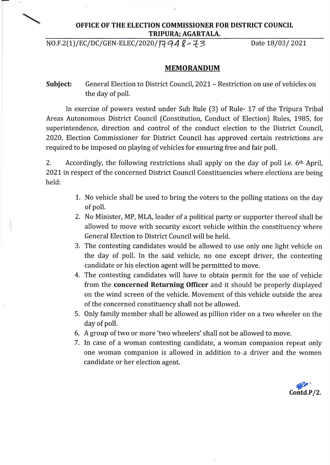# **OFFICE OF THE ELECTION COMMISSIONER FOR DISTRICT COUNCIL TRIPURA; AGARTALA.**

 $NO.F.2(1)/EC/DC/GEN-ELEC/2020/1794R-73$  Date 18/03/ 2021

**~ Contd.P/2.** 

## **MEMORANDUM**

**Subject:**  General Election to District Council, 2021- Restriction on use of vehicles on the day of poll.

In exercise of powers vested under Sub Rule (3) of Rule- 17 of the Tripura Tribal Areas Autonomous District Council (Constitution, Conduct of Election) Rules, 1985, for superintendence, direction and control of the conduct election to the District Council, *2020,* Election Commissioner for District Council has approved certain restrictions are required to be imposed on playing of vehicles for ensuring free and fair poll.

2. Accordingly, the following restrictions shall apply on the day of poll i.e. 6<sup>th</sup> April, 2021 in respect of the concerned District Council Constituencies where elections are being held:

- 1. No vehicle shall be used to bring the voters to the polling stations on the day of poll.
- 2. No Minister, MP, MLA, leader of a political party or supporter thereof shall be allowed to move with security escort vehicle within the constituency where General Election to District Council will be held.
- 3. The contesting candidates would be allowed to use only one light vehicle on the day of poll. In the said vehicle, no one except driver, the contesting candidate or his election agent will be permitted to move.
- 4. The contesting candidates will have to obtain permit for the use of vehicle from the **concerned Returning Officer** and it should be properly displayed on the wind screen of the vehicle. Movement of this vehicle outside the area of the concerned constituency shall not be allowed.
- 5. Only family member shall be allowed as pillion rider on a two wheeler on the day of poll.
- 6. *A* group of two or more 'two wheelers' shall not be allowed to move.
- 7. In case of a woman contesting candidate, a woman companion repeat only one woman companion is allowed in addition to a driver and the women candidate or her election agent.